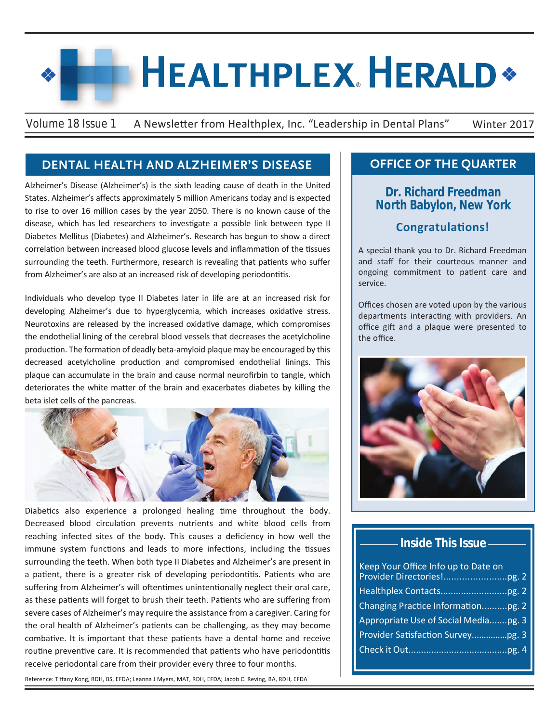# **HEALTHPLEX HERALD\***

Volume 18 Issue 1 A Newsletter from Healthplex, Inc. "Leadership in Dental Plans" Winter 2017

#### **DENTAL HEALTH AND ALZHEIMER'S DISEASE**

Alzheimer's Disease (Alzheimer's) is the sixth leading cause of death in the United States. Alzheimer's affects approximately 5 million Americans today and is expected to rise to over 16 million cases by the year 2050. There is no known cause of the disease, which has led researchers to investigate a possible link between type II Diabetes Mellitus (Diabetes) and Alzheimer's. Research has begun to show a direct correlation between increased blood glucose levels and inflammation of the tissues surrounding the teeth. Furthermore, research is revealing that patients who suffer from Alzheimer's are also at an increased risk of developing periodontitis.

Individuals who develop type II Diabetes later in life are at an increased risk for developing Alzheimer's due to hyperglycemia, which increases oxidative stress. Neurotoxins are released by the increased oxidative damage, which compromises the endothelial lining of the cerebral blood vessels that decreases the acetylcholine production. The formation of deadly beta-amyloid plaque may be encouraged by this decreased acetylcholine production and compromised endothelial linings. This plaque can accumulate in the brain and cause normal neurofirbin to tangle, which deteriorates the white matter of the brain and exacerbates diabetes by killing the beta islet cells of the pancreas.



Diabetics also experience a prolonged healing time throughout the body. Decreased blood circulation prevents nutrients and white blood cells from reaching infected sites of the body. This causes a deficiency in how well the immune system functions and leads to more infections, including the tissues surrounding the teeth. When both type II Diabetes and Alzheimer's are present in a patient, there is a greater risk of developing periodontitis. Patients who are suffering from Alzheimer's will oftentimes unintentionally neglect their oral care, as these patients will forget to brush their teeth. Patients who are suffering from severe cases of Alzheimer's may require the assistance from a caregiver. Caring for the oral health of Alzheimer's patients can be challenging, as they may become combative. It is important that these patients have a dental home and receive routine preventive care. It is recommended that patients who have periodontitis receive periodontal care from their provider every three to four months.

Reference: Tiffany Kong, RDH, BS, EFDA; Leanna J Myers, MAT, RDH, EFDA; Jacob C. Reving, BA, RDH, EFDA

#### **OFFICE OF THE QUARTER**

#### **Dr. Richard Freedman North Babylon, New York**

#### **Congratulations!**

A special thank you to Dr. Richard Freedman and staff for their courteous manner and ongoing commitment to patient care and service.

Offices chosen are voted upon by the various departments interacting with providers. An office gift and a plaque were presented to the office.



#### **Inside This Issue**

| Keep Your Office Info up to Date on  |  |
|--------------------------------------|--|
|                                      |  |
| Changing Practice Informationpg. 2   |  |
| Appropriate Use of Social Mediapg. 3 |  |
|                                      |  |
|                                      |  |
|                                      |  |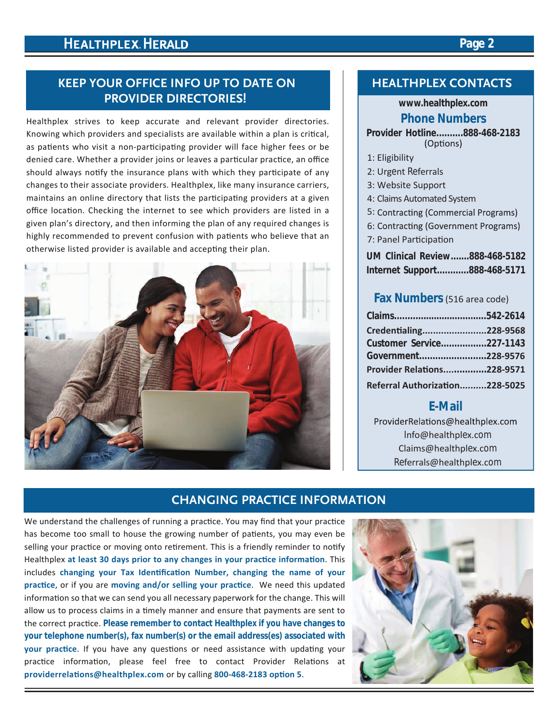#### **KEEP YOUR OFFICE INFO UP TO DATE ON PROVIDER DIRECTORIES!**

Healthplex strives to keep accurate and relevant provider directories. Knowing which providers and specialists are available within a plan is critical, as patients who visit a non-participating provider will face higher fees or be denied care. Whether a provider joins or leaves a particular practice, an office should always notify the insurance plans with which they participate of any changes to their associate providers. Healthplex, like many insurance carriers, maintains an online directory that lists the participating providers at a given office location. Checking the internet to see which providers are listed in a given plan's directory, and then informing the plan of any required changes is highly recommended to prevent confusion with patients who believe that an otherwise listed provider is available and accepting their plan.



#### **HEALTHPLEX CONTACTS**

#### **www.healthplex.com**

#### **Phone Numbers**

**Provider Hotline..........888-468-2183**

- 1: Eligibility
- 2: Urgent Referrals
- 3: Website Support
- 4: Claims Automated System
- 5: Contracting (Commercial Programs)
- 6: Contracting (Government Programs)
- 7: Panel Participation

**UM Clinical Review.......888-468-5182 Internet Support............888-468-5171**

#### **Fax Numbers**(516 area code)

| Credentialing228-9568             |  |
|-----------------------------------|--|
| Customer Service227-1143          |  |
| Government228-9576                |  |
| <b>Provider Relations228-9571</b> |  |
| Referral Authorization228-5025    |  |

#### **E-Mail**

ProviderRelations@healthplex.com Info@healthplex.com Claims@healthplex.com Referrals@healthplex.com

#### **CHANGING PRACTICE INFORMATION**

We understand the challenges of running a practice. You may find that your practice has become too small to house the growing number of patients, you may even be selling your practice or moving onto retirement. This is a friendly reminder to notify Healthplex **at least 30 days prior to any changes in your practice information**. This includes **changing your Tax Identification Number, changing the name of your practice**, or if you are **moving and/or selling your practice**. We need this updated information so that we can send you all necessary paperwork for the change. This will allow us to process claims in a timely manner and ensure that payments are sent to the correct practice. **Please remember to contact Healthplex if you have changes to your telephone number(s), fax number(s) or the email address(es) associated with your practice**. If you have any questions or need assistance with updating your practice information, please feel free to contact Provider Relations at **providerrelations@healthplex.com** or by calling **800-468-2183 option 5**.



#### **Page 2**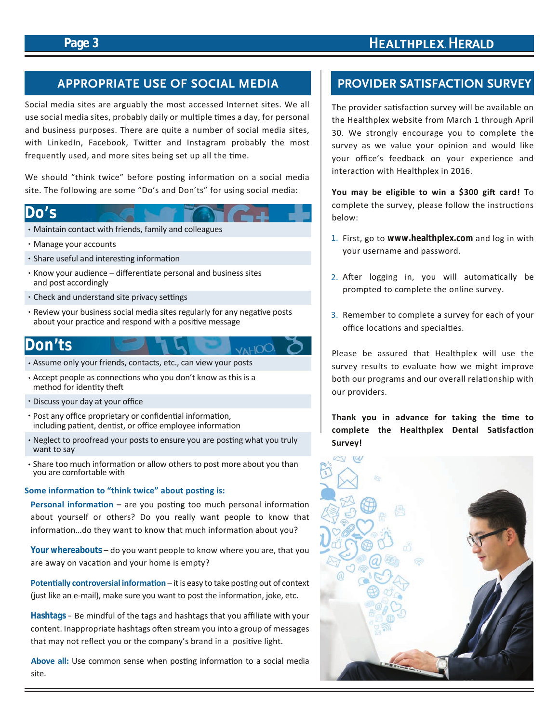#### **Page 3**

# **HEALTHPLEX. HERALD**

### **APPROPRIATE USE OF SOCIAL MEDIA PROVIDER SATISFACTION SURVEY**

Social media sites are arguably the most accessed Internet sites. We all use social media sites, probably daily or multiple times a day, for personal and business purposes. There are quite a number of social media sites, with LinkedIn, Facebook, Twitter and Instagram probably the most frequently used, and more sites being set up all the time.

We should "think twice" before posting information on a social media site. The following are some "Do's and Don'ts" for using social media:

#### **Do's**

- Maintain contact with friends, family and colleagues
- Manage your accounts
- Share useful and interesting information
- Know your audience differentiate personal and business sites and post accordingly
- Check and understand site privacy settings
- Review your business social media sites regularly for any negative posts about your practice and respond with a positive message

VAHO(

## **Don'ts**

- Assume only your friends, contacts, etc., can view your posts
- Accept people as connections who you don't know as this is a method for identity theft
- Discuss your day at your office
- Post any office proprietary or confidential information, including patient, dentist, or office employee information
- Neglect to proofread your posts to ensure you are posting what you truly want to say
- Share too much information or allow others to post more about you than you are comfortable with

#### **Some information to "think twice" about posting is:**

**Personal information** – are you posting too much personal information about yourself or others? Do you really want people to know that information…do they want to know that much information about you?

**Your whereabouts** – do you want people to know where you are, that you are away on vacation and your home is empty?

**Potentially controversial information** – it is easy to take posting out of context (just like an e-mail), make sure you want to post the information, joke, etc.

**Hashtags** – Be mindful of the tags and hashtags that you affiliate with your content. Inappropriate hashtags often stream you into a group of messages that may not reflect you or the company's brand in a positive light.

**Above all:** Use common sense when posting information to a social media site.

The provider satisfaction survey will be available on the Healthplex website from March 1 through April 30. We strongly encourage you to complete the survey as we value your opinion and would like your office's feedback on your experience and interaction with Healthplex in 2016.

**You may be eligible to win a \$300 gift card!** To complete the survey, please follow the instructions below:

- 1. First, go to **www.healthplex.com** and log in with your username and password.
- 2. After logging in, you will automatically be prompted to complete the online survey.
- 3. Remember to complete a survey for each of your office locations and specialties.

Please be assured that Healthplex will use the survey results to evaluate how we might improve both our programs and our overall relationship with our providers.

**Thank you in advance for taking the time to complete the Healthplex Dental Satisfaction Survey!**